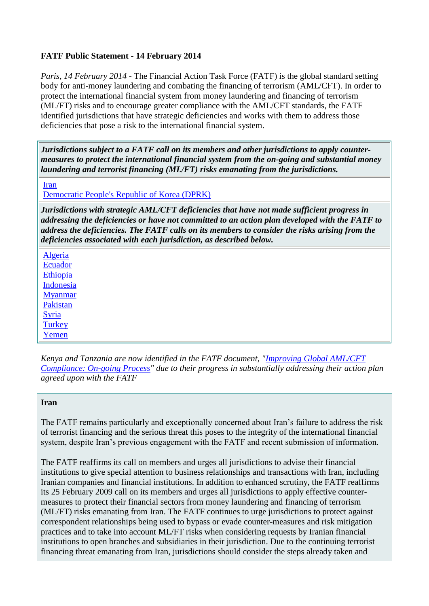# **FATF Public Statement - 14 February 2014**

*Paris, 14 February 2014 -* The Financial Action Task Force (FATF) is the global standard setting body for anti-money laundering and combating the financing of terrorism (AML/CFT). In order to protect the international financial system from money laundering and financing of terrorism (ML/FT) risks and to encourage greater compliance with the AML/CFT standards, the FATF identified jurisdictions that have strategic deficiencies and works with them to address those deficiencies that pose a risk to the international financial system.

*Jurisdictions subject to a FATF call on its members and other jurisdictions to apply countermeasures to protect the international financial system from the on-going and substantial money laundering and terrorist financing (ML/FT) risks emanating from the jurisdictions.*

[Iran](http://www.fatf-gafi.org/topics/high-riskandnon-cooperativejurisdictions/documents/public-statement-feb-2014.html#iran)

[Democratic People's Republic of Korea \(DPRK\)](http://www.fatf-gafi.org/topics/high-riskandnon-cooperativejurisdictions/documents/public-statement-feb-2014.html#DPRK)

*Jurisdictions with strategic AML/CFT deficiencies that have not made sufficient progress in addressing the deficiencies or have not committed to an action plan developed with the FATF to address the deficiencies. The FATF calls on its members to consider the risks arising from the deficiencies associated with each jurisdiction, as described below.*

[Algeria](http://www.fatf-gafi.org/topics/high-riskandnon-cooperativejurisdictions/documents/public-statement-feb-2014.html#Algeria) [Ecuador](http://www.fatf-gafi.org/topics/high-riskandnon-cooperativejurisdictions/documents/public-statement-feb-2014.html#Ecuador) [Ethiopia](http://www.fatf-gafi.org/topics/high-riskandnon-cooperativejurisdictions/documents/public-statement-feb-2014.html#Ethiopia) [Indonesia](http://www.fatf-gafi.org/topics/high-riskandnon-cooperativejurisdictions/documents/public-statement-feb-2014.html#Indonesia) [Myanmar](http://www.fatf-gafi.org/topics/high-riskandnon-cooperativejurisdictions/documents/public-statement-feb-2014.html#Myanmar) [Pakistan](http://www.fatf-gafi.org/topics/high-riskandnon-cooperativejurisdictions/documents/public-statement-feb-2014.html#Pakistan) [Syria](http://www.fatf-gafi.org/topics/high-riskandnon-cooperativejurisdictions/documents/public-statement-feb-2014.html#Syria) **[Turkey](http://www.fatf-gafi.org/topics/high-riskandnon-cooperativejurisdictions/documents/public-statement-feb-2014.html#Turkey)** [Yemen](http://www.fatf-gafi.org/topics/high-riskandnon-cooperativejurisdictions/documents/public-statement-feb-2014.html#Yemen)

*Kenya and Tanzania are now identified in the FATF document, ["Improving Global AML/CFT](http://www.fatf-gafi.org/topics/high-riskandnon-cooperativejurisdictions/documents/fatf-compliance-feb-2014.html)  [Compliance: On-going Process"](http://www.fatf-gafi.org/topics/high-riskandnon-cooperativejurisdictions/documents/fatf-compliance-feb-2014.html) due to their progress in substantially addressing their action plan agreed upon with the FATF*

#### **Iran**

The FATF remains particularly and exceptionally concerned about Iran's failure to address the risk of terrorist financing and the serious threat this poses to the integrity of the international financial system, despite Iran's previous engagement with the FATF and recent submission of information.

The FATF reaffirms its call on members and urges all jurisdictions to advise their financial institutions to give special attention to business relationships and transactions with Iran, including Iranian companies and financial institutions. In addition to enhanced scrutiny, the FATF reaffirms its 25 February 2009 call on its members and urges all jurisdictions to apply effective countermeasures to protect their financial sectors from money laundering and financing of terrorism (ML/FT) risks emanating from Iran. The FATF continues to urge jurisdictions to protect against correspondent relationships being used to bypass or evade counter-measures and risk mitigation practices and to take into account ML/FT risks when considering requests by Iranian financial institutions to open branches and subsidiaries in their jurisdiction. Due to the continuing terrorist financing threat emanating from Iran, jurisdictions should consider the steps already taken and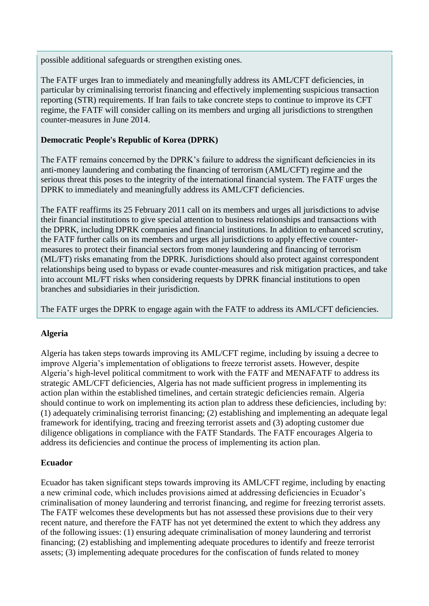possible additional safeguards or strengthen existing ones.

The FATF urges Iran to immediately and meaningfully address its AML/CFT deficiencies, in particular by criminalising terrorist financing and effectively implementing suspicious transaction reporting (STR) requirements. If Iran fails to take concrete steps to continue to improve its CFT regime, the FATF will consider calling on its members and urging all jurisdictions to strengthen counter-measures in June 2014.

### **Democratic People's Republic of Korea (DPRK)**

The FATF remains concerned by the DPRK's failure to address the significant deficiencies in its anti-money laundering and combating the financing of terrorism (AML/CFT) regime and the serious threat this poses to the integrity of the international financial system. The FATF urges the DPRK to immediately and meaningfully address its AML/CFT deficiencies.

The FATF reaffirms its 25 February 2011 call on its members and urges all jurisdictions to advise their financial institutions to give special attention to business relationships and transactions with the DPRK, including DPRK companies and financial institutions. In addition to enhanced scrutiny, the FATF further calls on its members and urges all jurisdictions to apply effective countermeasures to protect their financial sectors from money laundering and financing of terrorism (ML/FT) risks emanating from the DPRK. Jurisdictions should also protect against correspondent relationships being used to bypass or evade counter-measures and risk mitigation practices, and take into account ML/FT risks when considering requests by DPRK financial institutions to open branches and subsidiaries in their jurisdiction.

The FATF urges the DPRK to engage again with the FATF to address its AML/CFT deficiencies.

### **Algeria**

Algeria has taken steps towards improving its AML/CFT regime, including by issuing a decree to improve Algeria's implementation of obligations to freeze terrorist assets. However, despite Algeria's high-level political commitment to work with the FATF and MENAFATF to address its strategic AML/CFT deficiencies, Algeria has not made sufficient progress in implementing its action plan within the established timelines, and certain strategic deficiencies remain. Algeria should continue to work on implementing its action plan to address these deficiencies, including by: (1) adequately criminalising terrorist financing; (2) establishing and implementing an adequate legal framework for identifying, tracing and freezing terrorist assets and (3) adopting customer due diligence obligations in compliance with the FATF Standards. The FATF encourages Algeria to address its deficiencies and continue the process of implementing its action plan.

### **Ecuador**

Ecuador has taken significant steps towards improving its AML/CFT regime, including by enacting a new criminal code, which includes provisions aimed at addressing deficiencies in Ecuador's criminalisation of money laundering and terrorist financing, and regime for freezing terrorist assets. The FATF welcomes these developments but has not assessed these provisions due to their very recent nature, and therefore the FATF has not yet determined the extent to which they address any of the following issues: (1) ensuring adequate criminalisation of money laundering and terrorist financing; (2) establishing and implementing adequate procedures to identify and freeze terrorist assets; (3) implementing adequate procedures for the confiscation of funds related to money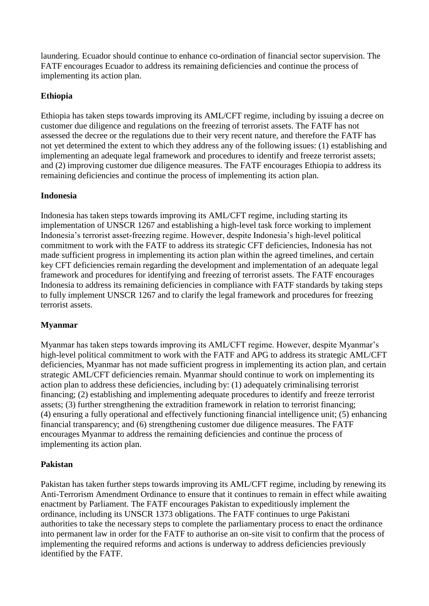laundering. Ecuador should continue to enhance co-ordination of financial sector supervision. The FATF encourages Ecuador to address its remaining deficiencies and continue the process of implementing its action plan.

### **Ethiopia**

Ethiopia has taken steps towards improving its AML/CFT regime, including by issuing a decree on customer due diligence and regulations on the freezing of terrorist assets. The FATF has not assessed the decree or the regulations due to their very recent nature, and therefore the FATF has not yet determined the extent to which they address any of the following issues: (1) establishing and implementing an adequate legal framework and procedures to identify and freeze terrorist assets; and (2) improving customer due diligence measures. The FATF encourages Ethiopia to address its remaining deficiencies and continue the process of implementing its action plan.

### **Indonesia**

Indonesia has taken steps towards improving its AML/CFT regime, including starting its implementation of UNSCR 1267 and establishing a high-level task force working to implement Indonesia's terrorist asset-freezing regime. However, despite Indonesia's high-level political commitment to work with the FATF to address its strategic CFT deficiencies, Indonesia has not made sufficient progress in implementing its action plan within the agreed timelines, and certain key CFT deficiencies remain regarding the development and implementation of an adequate legal framework and procedures for identifying and freezing of terrorist assets. The FATF encourages Indonesia to address its remaining deficiencies in compliance with FATF standards by taking steps to fully implement UNSCR 1267 and to clarify the legal framework and procedures for freezing terrorist assets.

### **Myanmar**

Myanmar has taken steps towards improving its AML/CFT regime. However, despite Myanmar's high-level political commitment to work with the FATF and APG to address its strategic AML/CFT deficiencies, Myanmar has not made sufficient progress in implementing its action plan, and certain strategic AML/CFT deficiencies remain. Myanmar should continue to work on implementing its action plan to address these deficiencies, including by: (1) adequately criminalising terrorist financing; (2) establishing and implementing adequate procedures to identify and freeze terrorist assets; (3) further strengthening the extradition framework in relation to terrorist financing; (4) ensuring a fully operational and effectively functioning financial intelligence unit; (5) enhancing financial transparency; and (6) strengthening customer due diligence measures. The FATF encourages Myanmar to address the remaining deficiencies and continue the process of implementing its action plan.

#### **Pakistan**

Pakistan has taken further steps towards improving its AML/CFT regime, including by renewing its Anti-Terrorism Amendment Ordinance to ensure that it continues to remain in effect while awaiting enactment by Parliament. The FATF encourages Pakistan to expeditiously implement the ordinance, including its UNSCR 1373 obligations. The FATF continues to urge Pakistani authorities to take the necessary steps to complete the parliamentary process to enact the ordinance into permanent law in order for the FATF to authorise an on-site visit to confirm that the process of implementing the required reforms and actions is underway to address deficiencies previously identified by the FATF.